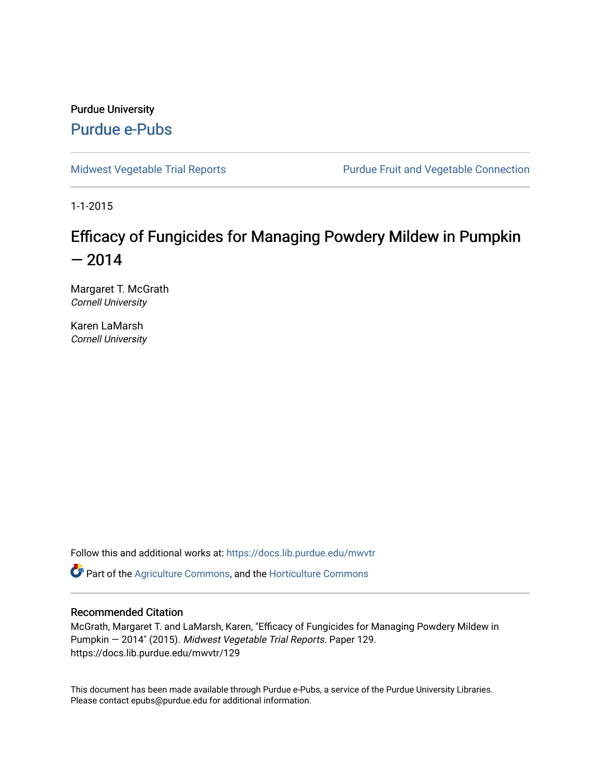Purdue University [Purdue e-Pubs](https://docs.lib.purdue.edu/)

[Midwest Vegetable Trial Reports](https://docs.lib.purdue.edu/mwvtr) **Purdue Fruit and Vegetable Connection** 

1-1-2015

## Efficacy of Fungicides for Managing Powdery Mildew in Pumpkin  $-2014$

Margaret T. McGrath Cornell University

Karen LaMarsh Cornell University

Follow this and additional works at: [https://docs.lib.purdue.edu/mwvtr](https://docs.lib.purdue.edu/mwvtr?utm_source=docs.lib.purdue.edu%2Fmwvtr%2F129&utm_medium=PDF&utm_campaign=PDFCoverPages) 

Part of the [Agriculture Commons](http://network.bepress.com/hgg/discipline/1076?utm_source=docs.lib.purdue.edu%2Fmwvtr%2F129&utm_medium=PDF&utm_campaign=PDFCoverPages), and the [Horticulture Commons](http://network.bepress.com/hgg/discipline/105?utm_source=docs.lib.purdue.edu%2Fmwvtr%2F129&utm_medium=PDF&utm_campaign=PDFCoverPages) 

#### Recommended Citation

McGrath, Margaret T. and LaMarsh, Karen, "Efficacy of Fungicides for Managing Powdery Mildew in Pumpkin — 2014" (2015). Midwest Vegetable Trial Reports. Paper 129. https://docs.lib.purdue.edu/mwvtr/129

This document has been made available through Purdue e-Pubs, a service of the Purdue University Libraries. Please contact epubs@purdue.edu for additional information.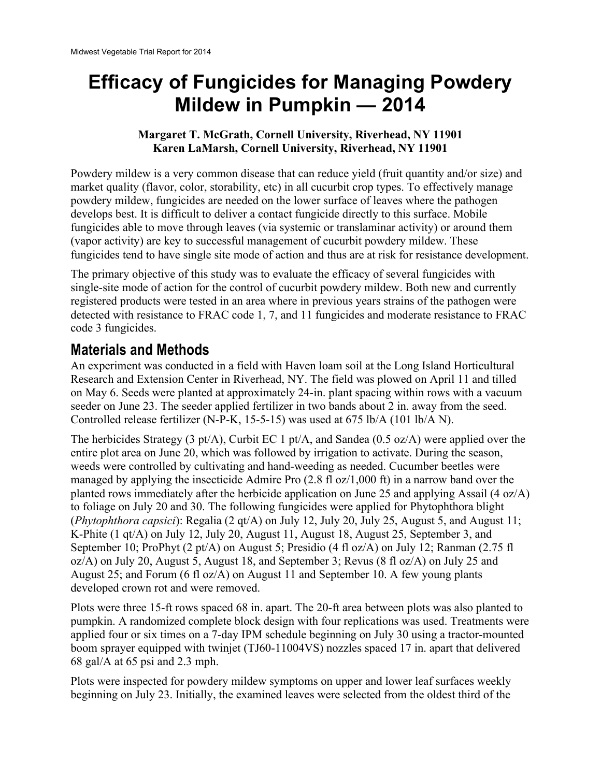# **Mildew in Pumpkin — 2014 Efficacy of Fungicides for Managing Powdery**

#### **Margaret T. McGrath, Cornell University, Riverhead, NY 11901 Karen LaMarsh, Cornell University, Riverhead, NY 11901**

fungicides tend to have single site mode of action and thus are at risk for resistance development. Powdery mildew is a very common disease that can reduce yield (fruit quantity and/or size) and market quality (flavor, color, storability, etc) in all cucurbit crop types. To effectively manage powdery mildew, fungicides are needed on the lower surface of leaves where the pathogen develops best. It is difficult to deliver a contact fungicide directly to this surface. Mobile fungicides able to move through leaves (via systemic or translaminar activity) or around them (vapor activity) are key to successful management of cucurbit powdery mildew. These

The primary objective of this study was to evaluate the efficacy of several fungicides with single-site mode of action for the control of cucurbit powdery mildew. Both new and currently registered products were tested in an area where in previous years strains of the pathogen were detected with resistance to FRAC code 1, 7, and 11 fungicides and moderate resistance to FRAC code 3 fungicides.

## **Materials and Methods**

An experiment was conducted in a field with Haven loam soil at the Long Island Horticultural Research and Extension Center in Riverhead, NY. The field was plowed on April 11 and tilled on May 6. Seeds were planted at approximately 24-in. plant spacing within rows with a vacuum seeder on June 23. The seeder applied fertilizer in two bands about 2 in. away from the seed. Controlled release fertilizer (N-P-K, 15-5-15) was used at 675 lb/A (101 lb/A N).

The herbicides Strategy (3 pt/A), Curbit EC 1 pt/A, and Sandea (0.5 oz/A) were applied over the entire plot area on June 20, which was followed by irrigation to activate. During the season, weeds were controlled by cultivating and hand-weeding as needed. Cucumber beetles were managed by applying the insecticide Admire Pro (2.8 fl oz/1,000 ft) in a narrow band over the planted rows immediately after the herbicide application on June 25 and applying Assail (4 oz/A) to foliage on July 20 and 30. The following fungicides were applied for Phytophthora blight (*Phytophthora capsici*): Regalia (2 qt/A) on July 12, July 20, July 25, August 5, and August 11; K-Phite (1 qt/A) on July 12, July 20, August 11, August 18, August 25, September 3, and September 10; ProPhyt (2 pt/A) on August 5; Presidio (4 fl oz/A) on July 12; Ranman (2.75 fl oz/A) on July 20, August 5, August 18, and September 3; Revus (8 fl oz/A) on July 25 and August 25; and Forum (6 fl oz/A) on August 11 and September 10. A few young plants developed crown rot and were removed.

Plots were three 15-ft rows spaced 68 in. apart. The 20-ft area between plots was also planted to pumpkin. A randomized complete block design with four replications was used. Treatments were applied four or six times on a 7-day IPM schedule beginning on July 30 using a tractor-mounted boom sprayer equipped with twinjet (TJ60-11004VS) nozzles spaced 17 in. apart that delivered 68 gal/A at 65 psi and 2.3 mph.

Plots were inspected for powdery mildew symptoms on upper and lower leaf surfaces weekly beginning on July 23. Initially, the examined leaves were selected from the oldest third of the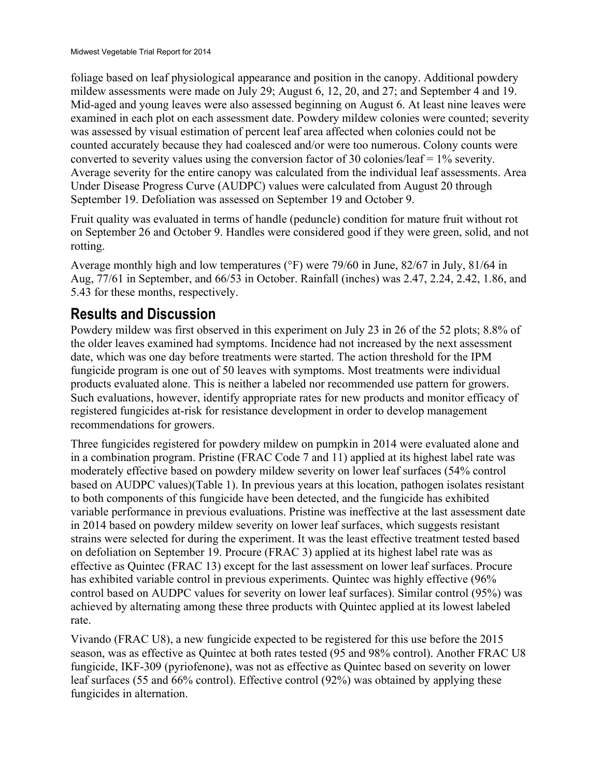foliage based on leaf physiological appearance and position in the canopy. Additional powdery mildew assessments were made on July 29; August 6, 12, 20, and 27; and September 4 and 19. Mid-aged and young leaves were also assessed beginning on August 6. At least nine leaves were examined in each plot on each assessment date. Powdery mildew colonies were counted; severity was assessed by visual estimation of percent leaf area affected when colonies could not be counted accurately because they had coalesced and/or were too numerous. Colony counts were converted to severity values using the conversion factor of 30 colonies/leaf  $= 1\%$  severity. Average severity for the entire canopy was calculated from the individual leaf assessments. Area Under Disease Progress Curve (AUDPC) values were calculated from August 20 through September 19. Defoliation was assessed on September 19 and October 9.

Fruit quality was evaluated in terms of handle (peduncle) condition for mature fruit without rot on September 26 and October 9. Handles were considered good if they were green, solid, and not rotting.

Average monthly high and low temperatures (°F) were 79/60 in June, 82/67 in July, 81/64 in Aug, 77/61 in September, and 66/53 in October. Rainfall (inches) was 2.47, 2.24, 2.42, 1.86, and 5.43 for these months, respectively.

## **Results and Discussion**

Powdery mildew was first observed in this experiment on July 23 in 26 of the 52 plots; 8.8% of the older leaves examined had symptoms. Incidence had not increased by the next assessment date, which was one day before treatments were started. The action threshold for the IPM fungicide program is one out of 50 leaves with symptoms. Most treatments were individual products evaluated alone. This is neither a labeled nor recommended use pattern for growers. Such evaluations, however, identify appropriate rates for new products and monitor efficacy of registered fungicides at-risk for resistance development in order to develop management recommendations for growers.

Three fungicides registered for powdery mildew on pumpkin in 2014 were evaluated alone and in a combination program. Pristine (FRAC Code 7 and 11) applied at its highest label rate was moderately effective based on powdery mildew severity on lower leaf surfaces (54% control based on AUDPC values)(Table 1). In previous years at this location, pathogen isolates resistant to both components of this fungicide have been detected, and the fungicide has exhibited variable performance in previous evaluations. Pristine was ineffective at the last assessment date in 2014 based on powdery mildew severity on lower leaf surfaces, which suggests resistant strains were selected for during the experiment. It was the least effective treatment tested based on defoliation on September 19. Procure (FRAC 3) applied at its highest label rate was as effective as Quintec (FRAC 13) except for the last assessment on lower leaf surfaces. Procure has exhibited variable control in previous experiments. Quintec was highly effective (96% control based on AUDPC values for severity on lower leaf surfaces). Similar control (95%) was achieved by alternating among these three products with Quintec applied at its lowest labeled rate.

Vivando (FRAC U8), a new fungicide expected to be registered for this use before the 2015 season, was as effective as Quintec at both rates tested (95 and 98% control). Another FRAC U8 fungicide, IKF-309 (pyriofenone), was not as effective as Quintec based on severity on lower leaf surfaces (55 and 66% control). Effective control (92%) was obtained by applying these fungicides in alternation.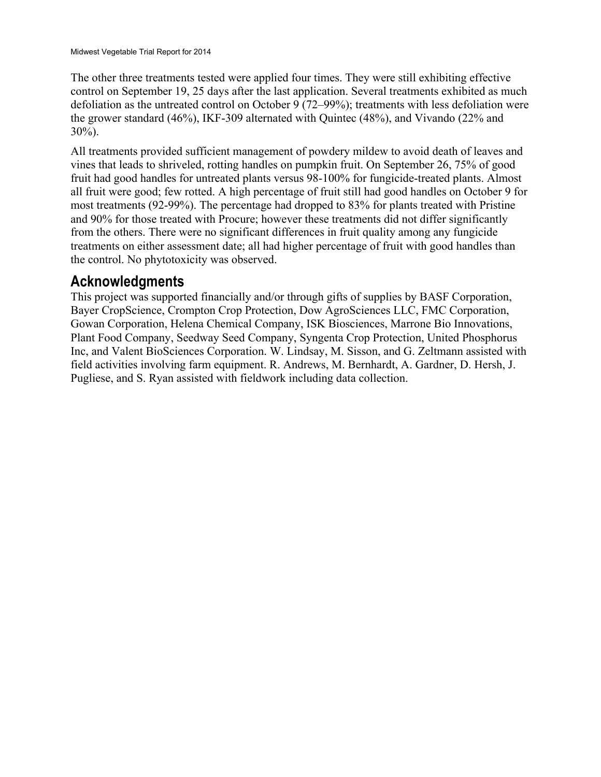The other three treatments tested were applied four times. They were still exhibiting effective control on September 19, 25 days after the last application. Several treatments exhibited as much defoliation as the untreated control on October 9 (72–99%); treatments with less defoliation were the grower standard (46%), IKF-309 alternated with Quintec (48%), and Vivando (22% and 30%).

All treatments provided sufficient management of powdery mildew to avoid death of leaves and vines that leads to shriveled, rotting handles on pumpkin fruit. On September 26, 75% of good fruit had good handles for untreated plants versus 98-100% for fungicide-treated plants. Almost all fruit were good; few rotted. A high percentage of fruit still had good handles on October 9 for most treatments (92-99%). The percentage had dropped to 83% for plants treated with Pristine and 90% for those treated with Procure; however these treatments did not differ significantly from the others. There were no significant differences in fruit quality among any fungicide treatments on either assessment date; all had higher percentage of fruit with good handles than the control. No phytotoxicity was observed.

## **Acknowledgments**

This project was supported financially and/or through gifts of supplies by BASF Corporation, Bayer CropScience, Crompton Crop Protection, Dow AgroSciences LLC, FMC Corporation, Gowan Corporation, Helena Chemical Company, ISK Biosciences, Marrone Bio Innovations, Plant Food Company, Seedway Seed Company, Syngenta Crop Protection, United Phosphorus Inc, and Valent BioSciences Corporation. W. Lindsay, M. Sisson, and G. Zeltmann assisted with field activities involving farm equipment. R. Andrews, M. Bernhardt, A. Gardner, D. Hersh, J. Pugliese, and S. Ryan assisted with fieldwork including data collection.